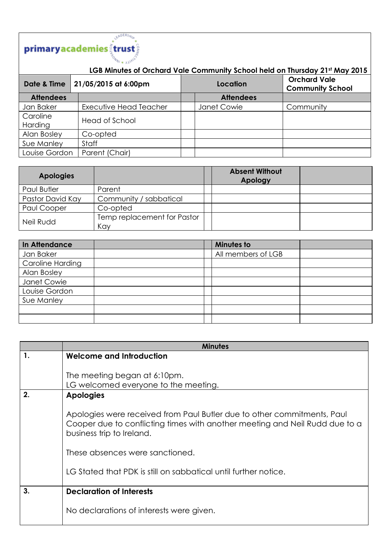## ِ مِسْتَقْسِيِ بِهِ وَ primaryacademies

| LGB Minutes of Orchard Vale Community School held on Thursday 21 <sup>st</sup> May 2015 |                        |  |                  |                                                |
|-----------------------------------------------------------------------------------------|------------------------|--|------------------|------------------------------------------------|
| Date & Time                                                                             | 21/05/2015 at 6:00pm   |  | Location         | <b>Orchard Vale</b><br><b>Community School</b> |
| <b>Attendees</b>                                                                        |                        |  | <b>Attendees</b> |                                                |
| Jan Baker                                                                               | Executive Head Teacher |  | Janet Cowie      | Community                                      |
| Caroline<br>Harding                                                                     | Head of School         |  |                  |                                                |
| Alan Bosley                                                                             | Co-opted               |  |                  |                                                |
| Sue Manley                                                                              | Staff                  |  |                  |                                                |
| Louise Gordon                                                                           | Parent (Chair)         |  |                  |                                                |

| <b>Apologies</b> |                                    | <b>Absent Without</b><br>Apology |  |
|------------------|------------------------------------|----------------------------------|--|
| Paul Butler      | Parent                             |                                  |  |
| Pastor David Kay | Community / sabbatical             |                                  |  |
| Paul Cooper      | Co-opted                           |                                  |  |
| Neil Rudd        | Temp replacement for Pastor<br>Kay |                                  |  |

| In Attendance    |  | <b>Minutes to</b>  |  |
|------------------|--|--------------------|--|
| Jan Baker        |  | All members of LGB |  |
| Caroline Harding |  |                    |  |
| Alan Bosley      |  |                    |  |
| Janet Cowie      |  |                    |  |
| Louise Gordon    |  |                    |  |
| Sue Manley       |  |                    |  |
|                  |  |                    |  |
|                  |  |                    |  |

|    | <b>Minutes</b>                                                                                                                                                                      |
|----|-------------------------------------------------------------------------------------------------------------------------------------------------------------------------------------|
| 1. | <b>Welcome and Introduction</b>                                                                                                                                                     |
|    |                                                                                                                                                                                     |
|    | The meeting began at 6:10pm.                                                                                                                                                        |
|    | LG welcomed everyone to the meeting.                                                                                                                                                |
| 2. | <b>Apologies</b>                                                                                                                                                                    |
|    | Apologies were received from Paul Butler due to other commitments, Paul<br>Cooper due to conflicting times with another meeting and Neil Rudd due to a<br>business trip to Ireland. |
|    | These absences were sanctioned.                                                                                                                                                     |
|    | LG Stated that PDK is still on sabbatical until further notice.                                                                                                                     |
| 3. | <b>Declaration of Interests</b>                                                                                                                                                     |
|    | No declarations of interests were given.                                                                                                                                            |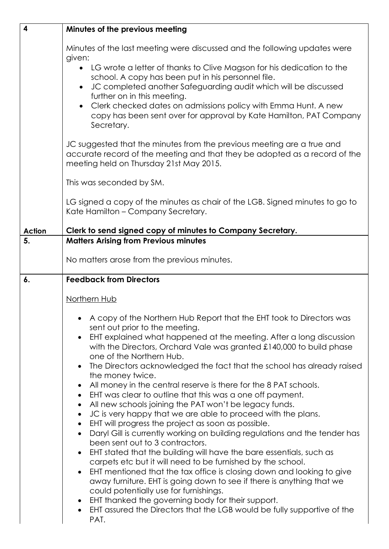| 4             | Minutes of the previous meeting                                                                                                                                                                                                                                                                                                                                                                                                                                                                                                                                                                                                                                                                                                                                                                                                                                                                                                                                                                                                                                                                                                                                                                                                                                                                               |
|---------------|---------------------------------------------------------------------------------------------------------------------------------------------------------------------------------------------------------------------------------------------------------------------------------------------------------------------------------------------------------------------------------------------------------------------------------------------------------------------------------------------------------------------------------------------------------------------------------------------------------------------------------------------------------------------------------------------------------------------------------------------------------------------------------------------------------------------------------------------------------------------------------------------------------------------------------------------------------------------------------------------------------------------------------------------------------------------------------------------------------------------------------------------------------------------------------------------------------------------------------------------------------------------------------------------------------------|
|               | Minutes of the last meeting were discussed and the following updates were<br>given:<br>LG wrote a letter of thanks to Clive Magson for his dedication to the<br>$\bullet$<br>school. A copy has been put in his personnel file.<br>JC completed another Safeguarding audit which will be discussed<br>further on in this meeting.<br>Clerk checked dates on admissions policy with Emma Hunt. A new<br>copy has been sent over for approval by Kate Hamilton, PAT Company<br>Secretary.                                                                                                                                                                                                                                                                                                                                                                                                                                                                                                                                                                                                                                                                                                                                                                                                                       |
|               | JC suggested that the minutes from the previous meeting are a true and<br>accurate record of the meeting and that they be adopted as a record of the<br>meeting held on Thursday 21st May 2015.                                                                                                                                                                                                                                                                                                                                                                                                                                                                                                                                                                                                                                                                                                                                                                                                                                                                                                                                                                                                                                                                                                               |
|               | This was seconded by SM.                                                                                                                                                                                                                                                                                                                                                                                                                                                                                                                                                                                                                                                                                                                                                                                                                                                                                                                                                                                                                                                                                                                                                                                                                                                                                      |
|               | LG signed a copy of the minutes as chair of the LGB. Signed minutes to go to<br>Kate Hamilton – Company Secretary.                                                                                                                                                                                                                                                                                                                                                                                                                                                                                                                                                                                                                                                                                                                                                                                                                                                                                                                                                                                                                                                                                                                                                                                            |
| <b>Action</b> | Clerk to send signed copy of minutes to Company Secretary.                                                                                                                                                                                                                                                                                                                                                                                                                                                                                                                                                                                                                                                                                                                                                                                                                                                                                                                                                                                                                                                                                                                                                                                                                                                    |
| 5.            | <b>Matters Arising from Previous minutes</b>                                                                                                                                                                                                                                                                                                                                                                                                                                                                                                                                                                                                                                                                                                                                                                                                                                                                                                                                                                                                                                                                                                                                                                                                                                                                  |
|               | No matters arose from the previous minutes.                                                                                                                                                                                                                                                                                                                                                                                                                                                                                                                                                                                                                                                                                                                                                                                                                                                                                                                                                                                                                                                                                                                                                                                                                                                                   |
| 6.            | <b>Feedback from Directors</b>                                                                                                                                                                                                                                                                                                                                                                                                                                                                                                                                                                                                                                                                                                                                                                                                                                                                                                                                                                                                                                                                                                                                                                                                                                                                                |
|               | Northern Hub                                                                                                                                                                                                                                                                                                                                                                                                                                                                                                                                                                                                                                                                                                                                                                                                                                                                                                                                                                                                                                                                                                                                                                                                                                                                                                  |
|               | A copy of the Northern Hub Report that the EHT took to Directors was<br>sent out prior to the meeting.<br>EHT explained what happened at the meeting. After a long discussion<br>$\bullet$<br>with the Directors, Orchard Vale was granted £140,000 to build phase<br>one of the Northern Hub.<br>The Directors acknowledged the fact that the school has already raised<br>the money twice.<br>All money in the central reserve is there for the 8 PAT schools.<br>EHT was clear to outline that this was a one off payment.<br>All new schools joining the PAT won't be legacy funds.<br>JC is very happy that we are able to proceed with the plans.<br>EHT will progress the project as soon as possible.<br>Daryl Gill is currently working on building regulations and the tender has<br>$\bullet$<br>been sent out to 3 contractors.<br>EHT stated that the building will have the bare essentials, such as<br>carpets etc but it will need to be furnished by the school.<br>EHT mentioned that the tax office is closing down and looking to give<br>away furniture. EHT is going down to see if there is anything that we<br>could potentially use for furnishings.<br>EHT thanked the governing body for their support.<br>EHT assured the Directors that the LGB would be fully supportive of the |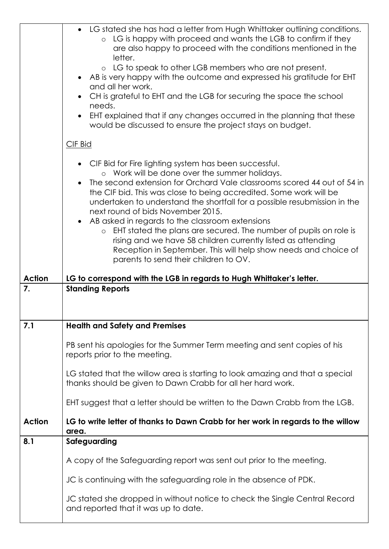|               | • LG stated she has had a letter from Hugh Whittaker outlining conditions.<br>o LG is happy with proceed and wants the LGB to confirm if they                                                                                                                                                                                                                                                                                                                                                                                                                                                                                                                                       |
|---------------|-------------------------------------------------------------------------------------------------------------------------------------------------------------------------------------------------------------------------------------------------------------------------------------------------------------------------------------------------------------------------------------------------------------------------------------------------------------------------------------------------------------------------------------------------------------------------------------------------------------------------------------------------------------------------------------|
|               | are also happy to proceed with the conditions mentioned in the<br>letter.                                                                                                                                                                                                                                                                                                                                                                                                                                                                                                                                                                                                           |
|               | LG to speak to other LGB members who are not present.<br>$\circ$<br>AB is very happy with the outcome and expressed his gratitude for EHT<br>and all her work.                                                                                                                                                                                                                                                                                                                                                                                                                                                                                                                      |
|               | CH is grateful to EHT and the LGB for securing the space the school                                                                                                                                                                                                                                                                                                                                                                                                                                                                                                                                                                                                                 |
|               | needs.<br>EHT explained that if any changes occurred in the planning that these<br>would be discussed to ensure the project stays on budget.                                                                                                                                                                                                                                                                                                                                                                                                                                                                                                                                        |
|               | <b>CIF Bid</b>                                                                                                                                                                                                                                                                                                                                                                                                                                                                                                                                                                                                                                                                      |
|               | • CIF Bid for Fire lighting system has been successful.<br>o Work will be done over the summer holidays.<br>The second extension for Orchard Vale classrooms scored 44 out of 54 in<br>the CIF bid. This was close to being accredited. Some work will be<br>undertaken to understand the shortfall for a possible resubmission in the<br>next round of bids November 2015.<br>• AB asked in regards to the classroom extensions<br>o EHT stated the plans are secured. The number of pupils on role is<br>rising and we have 58 children currently listed as attending<br>Reception in September. This will help show needs and choice of<br>parents to send their children to OV. |
|               |                                                                                                                                                                                                                                                                                                                                                                                                                                                                                                                                                                                                                                                                                     |
| <b>Action</b> | LG to correspond with the LGB in regards to Hugh Whittaker's letter.                                                                                                                                                                                                                                                                                                                                                                                                                                                                                                                                                                                                                |
| 7.            | <b>Standing Reports</b>                                                                                                                                                                                                                                                                                                                                                                                                                                                                                                                                                                                                                                                             |
| 7.1           | <b>Health and Safety and Premises</b>                                                                                                                                                                                                                                                                                                                                                                                                                                                                                                                                                                                                                                               |
|               | PB sent his apologies for the Summer Term meeting and sent copies of his<br>reports prior to the meeting.                                                                                                                                                                                                                                                                                                                                                                                                                                                                                                                                                                           |
|               | LG stated that the willow area is starting to look amazing and that a special<br>thanks should be given to Dawn Crabb for all her hard work.                                                                                                                                                                                                                                                                                                                                                                                                                                                                                                                                        |
|               | EHT suggest that a letter should be written to the Dawn Crabb from the LGB.                                                                                                                                                                                                                                                                                                                                                                                                                                                                                                                                                                                                         |
| <b>Action</b> | LG to write letter of thanks to Dawn Crabb for her work in regards to the willow<br>area.                                                                                                                                                                                                                                                                                                                                                                                                                                                                                                                                                                                           |
| 8.1           | Safeguarding                                                                                                                                                                                                                                                                                                                                                                                                                                                                                                                                                                                                                                                                        |
|               | A copy of the Safeguarding report was sent out prior to the meeting.                                                                                                                                                                                                                                                                                                                                                                                                                                                                                                                                                                                                                |
|               | JC is continuing with the safeguarding role in the absence of PDK.                                                                                                                                                                                                                                                                                                                                                                                                                                                                                                                                                                                                                  |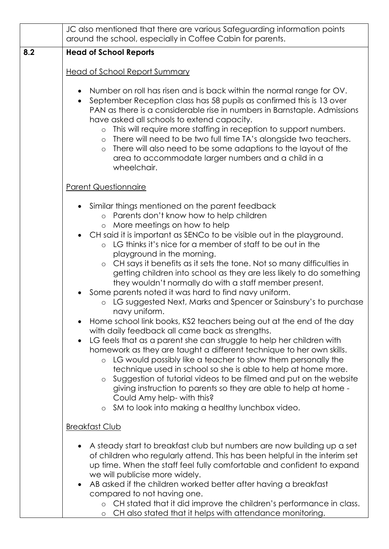|     | JC also mentioned that there are various Safeguarding information points<br>around the school, especially in Coffee Cabin for parents.                                                                                                                                                                                                                                                                                                                                                                                                                                                                                                                                                                                                                                                                                                                                                                                                                                                                                                                                                                                                                                                                                                                                                                                                                                            |
|-----|-----------------------------------------------------------------------------------------------------------------------------------------------------------------------------------------------------------------------------------------------------------------------------------------------------------------------------------------------------------------------------------------------------------------------------------------------------------------------------------------------------------------------------------------------------------------------------------------------------------------------------------------------------------------------------------------------------------------------------------------------------------------------------------------------------------------------------------------------------------------------------------------------------------------------------------------------------------------------------------------------------------------------------------------------------------------------------------------------------------------------------------------------------------------------------------------------------------------------------------------------------------------------------------------------------------------------------------------------------------------------------------|
| 8.2 | <b>Head of School Reports</b>                                                                                                                                                                                                                                                                                                                                                                                                                                                                                                                                                                                                                                                                                                                                                                                                                                                                                                                                                                                                                                                                                                                                                                                                                                                                                                                                                     |
|     | <b>Head of School Report Summary</b>                                                                                                                                                                                                                                                                                                                                                                                                                                                                                                                                                                                                                                                                                                                                                                                                                                                                                                                                                                                                                                                                                                                                                                                                                                                                                                                                              |
|     | Number on roll has risen and is back within the normal range for OV.<br>September Reception class has 58 pupils as confirmed this is 13 over<br>PAN as there is a considerable rise in numbers in Barnstaple. Admissions<br>have asked all schools to extend capacity.<br>This will require more staffing in reception to support numbers.<br>$\circ$<br>There will need to be two full time TA's alongside two teachers.<br>$\circ$<br>There will also need to be some adaptions to the layout of the<br>$\circ$<br>area to accommodate larger numbers and a child in a<br>wheelchair.                                                                                                                                                                                                                                                                                                                                                                                                                                                                                                                                                                                                                                                                                                                                                                                           |
|     | <b>Parent Questionnaire</b>                                                                                                                                                                                                                                                                                                                                                                                                                                                                                                                                                                                                                                                                                                                                                                                                                                                                                                                                                                                                                                                                                                                                                                                                                                                                                                                                                       |
|     | Similar things mentioned on the parent feedback<br>o Parents don't know how to help children<br>More meetings on how to help<br>$\circ$<br>• CH said it is important as SENCo to be visible out in the playground.<br>LG thinks it's nice for a member of staff to be out in the<br>$\circ$<br>playground in the morning.<br>CH says it benefits as it sets the tone. Not so many difficulties in<br>$\circ$<br>getting children into school as they are less likely to do something<br>they wouldn't normally do with a staff member present.<br>Some parents noted it was hard to find navy uniform.<br>LG suggested Next, Marks and Spencer or Sainsbury's to purchase<br>$\circ$<br>navy uniform.<br>Home school link books, KS2 teachers being out at the end of the day<br>with daily feedback all came back as strengths.<br>LG feels that as a parent she can struggle to help her children with<br>$\bullet$<br>homework as they are taught a different technique to her own skills.<br>o LG would possibly like a teacher to show them personally the<br>technique used in school so she is able to help at home more.<br>Suggestion of tutorial videos to be filmed and put on the website<br>$\circ$<br>giving instruction to parents so they are able to help at home -<br>Could Amy help- with this?<br>SM to look into making a healthy lunchbox video.<br>$\circ$ |
|     | <b>Breakfast Club</b>                                                                                                                                                                                                                                                                                                                                                                                                                                                                                                                                                                                                                                                                                                                                                                                                                                                                                                                                                                                                                                                                                                                                                                                                                                                                                                                                                             |
|     | A steady start to breakfast club but numbers are now building up a set<br>of children who regularly attend. This has been helpful in the interim set<br>up time. When the staff feel fully comfortable and confident to expand<br>we will publicise more widely.<br>AB asked if the children worked better after having a breakfast<br>compared to not having one.<br>o CH stated that it did improve the children's performance in class.<br>CH also stated that it helps with attendance monitoring.<br>$\circ$                                                                                                                                                                                                                                                                                                                                                                                                                                                                                                                                                                                                                                                                                                                                                                                                                                                                 |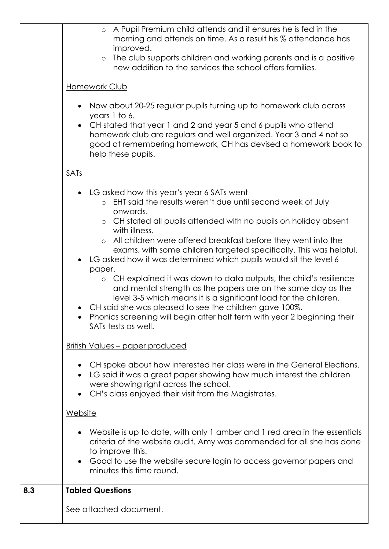|     | o A Pupil Premium child attends and it ensures he is fed in the<br>morning and attends on time. As a result his % attendance has<br>improved.<br>The club supports children and working parents and is a positive<br>$\circ$<br>new addition to the services the school offers families.<br>Homework Club |
|-----|-----------------------------------------------------------------------------------------------------------------------------------------------------------------------------------------------------------------------------------------------------------------------------------------------------------|
|     |                                                                                                                                                                                                                                                                                                           |
|     | Now about 20-25 regular pupils turning up to homework club across<br>$\bullet$<br>years 1 to 6.<br>CH stated that year 1 and 2 and year 5 and 6 pupils who attend<br>$\bullet$<br>homework club are regulars and well organized. Year 3 and 4 not so                                                      |
|     | good at remembering homework, CH has devised a homework book to<br>help these pupils.                                                                                                                                                                                                                     |
|     | <b>SATs</b>                                                                                                                                                                                                                                                                                               |
|     | LG asked how this year's year 6 SATs went<br>EHT said the results weren't due until second week of July<br>$\circ$<br>onwards.                                                                                                                                                                            |
|     | CH stated all pupils attended with no pupils on holiday absent<br>$\circ$<br>with illness.<br>All children were offered breakfast before they went into the                                                                                                                                               |
|     | exams, with some children targeted specifically. This was helpful.<br>LG asked how it was determined which pupils would sit the level 6<br>$\bullet$<br>paper.                                                                                                                                            |
|     | CH explained it was down to data outputs, the child's resilience<br>$\circ$<br>and mental strength as the papers are on the same day as the<br>level 3-5 which means it is a significant load for the children.<br>CH said she was pleased to see the children gave 100%.                                 |
|     | Phonics screening will begin after half term with year 2 beginning their<br>SATs tests as well.                                                                                                                                                                                                           |
|     | <b>British Values - paper produced</b>                                                                                                                                                                                                                                                                    |
|     | CH spoke about how interested her class were in the General Elections.<br>LG said it was a great paper showing how much interest the children<br>were showing right across the school.<br>CH's class enjoyed their visit from the Magistrates.                                                            |
|     | <u>Website</u>                                                                                                                                                                                                                                                                                            |
|     | Website is up to date, with only 1 amber and 1 red area in the essentials<br>criteria of the website audit. Amy was commended for all she has done<br>to improve this.<br>Good to use the website secure login to access governor papers and<br>$\bullet$<br>minutes this time round.                     |
| 8.3 | <b>Tabled Questions</b>                                                                                                                                                                                                                                                                                   |
|     | See attached document.                                                                                                                                                                                                                                                                                    |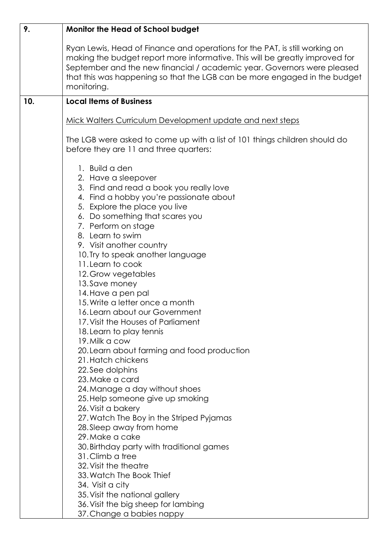| 9.  | Monitor the Head of School budget                                                                                                                                                                                                                                                                                                  |
|-----|------------------------------------------------------------------------------------------------------------------------------------------------------------------------------------------------------------------------------------------------------------------------------------------------------------------------------------|
|     | Ryan Lewis, Head of Finance and operations for the PAT, is still working on<br>making the budget report more informative. This will be greatly improved for<br>September and the new financial / academic year. Governors were pleased<br>that this was happening so that the LGB can be more engaged in the budget<br>monitoring. |
| 10. | <b>Local Items of Business</b>                                                                                                                                                                                                                                                                                                     |
|     | Mick Walters Curriculum Development update and next steps                                                                                                                                                                                                                                                                          |
|     | The LGB were asked to come up with a list of 101 things children should do<br>before they are 11 and three quarters:                                                                                                                                                                                                               |
|     | 1. Build a den                                                                                                                                                                                                                                                                                                                     |
|     | 2. Have a sleepover                                                                                                                                                                                                                                                                                                                |
|     | 3. Find and read a book you really love                                                                                                                                                                                                                                                                                            |
|     | 4. Find a hobby you're passionate about                                                                                                                                                                                                                                                                                            |
|     | 5. Explore the place you live                                                                                                                                                                                                                                                                                                      |
|     | 6. Do something that scares you<br>7. Perform on stage                                                                                                                                                                                                                                                                             |
|     | 8. Learn to swim                                                                                                                                                                                                                                                                                                                   |
|     | 9. Visit another country                                                                                                                                                                                                                                                                                                           |
|     | 10. Try to speak another language                                                                                                                                                                                                                                                                                                  |
|     | 11. Learn to cook                                                                                                                                                                                                                                                                                                                  |
|     | 12. Grow vegetables                                                                                                                                                                                                                                                                                                                |
|     | 13. Save money                                                                                                                                                                                                                                                                                                                     |
|     | 14. Have a pen pal                                                                                                                                                                                                                                                                                                                 |
|     | 15. Write a letter once a month                                                                                                                                                                                                                                                                                                    |
|     | 16. Learn about our Government<br>17. Visit the Houses of Parliament                                                                                                                                                                                                                                                               |
|     | 18. Learn to play tennis                                                                                                                                                                                                                                                                                                           |
|     | 19. Milk a cow                                                                                                                                                                                                                                                                                                                     |
|     | 20. Learn about farming and food production                                                                                                                                                                                                                                                                                        |
|     | 21. Hatch chickens                                                                                                                                                                                                                                                                                                                 |
|     | 22. See dolphins                                                                                                                                                                                                                                                                                                                   |
|     | 23. Make a card                                                                                                                                                                                                                                                                                                                    |
|     | 24. Manage a day without shoes                                                                                                                                                                                                                                                                                                     |
|     | 25. Help someone give up smoking                                                                                                                                                                                                                                                                                                   |
|     | 26. Visit a bakery                                                                                                                                                                                                                                                                                                                 |
|     | 27. Watch The Boy in the Striped Pyjamas<br>28. Sleep away from home                                                                                                                                                                                                                                                               |
|     | 29. Make a cake                                                                                                                                                                                                                                                                                                                    |
|     | 30. Birthday party with traditional games                                                                                                                                                                                                                                                                                          |
|     | 31. Climb a tree                                                                                                                                                                                                                                                                                                                   |
|     | 32. Visit the theatre                                                                                                                                                                                                                                                                                                              |
|     | 33. Watch The Book Thief                                                                                                                                                                                                                                                                                                           |
|     | 34. Visit a city                                                                                                                                                                                                                                                                                                                   |
|     | 35. Visit the national gallery                                                                                                                                                                                                                                                                                                     |
|     | 36. Visit the big sheep for lambing                                                                                                                                                                                                                                                                                                |
|     | 37. Change a babies nappy                                                                                                                                                                                                                                                                                                          |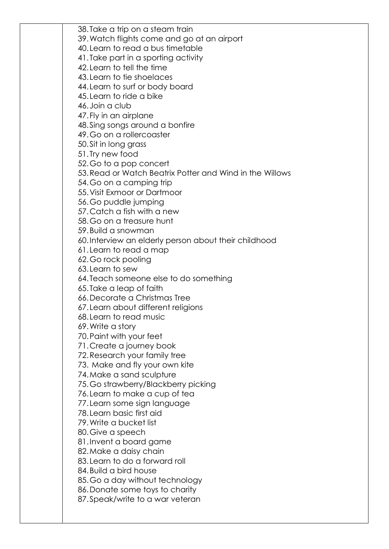| 38. Take a trip on a steam train                         |
|----------------------------------------------------------|
| 39. Watch flights come and go at an airport              |
| 40. Learn to read a bus timetable                        |
| 41. Take part in a sporting activity                     |
| 42. Learn to tell the time                               |
| 43. Learn to tie shoelaces                               |
| 44. Learn to surf or body board                          |
| 45. Learn to ride a bike                                 |
| 46. Join a club                                          |
|                                                          |
| 47. Fly in an airplane                                   |
| 48. Sing songs around a bonfire                          |
| 49. Go on a rollercoaster                                |
| 50. Sit in long grass                                    |
| 51. Try new food                                         |
| 52. Go to a pop concert                                  |
| 53. Read or Watch Beatrix Potter and Wind in the Willows |
| 54. Go on a camping trip                                 |
| 55. Visit Exmoor or Dartmoor                             |
| 56. Go puddle jumping                                    |
| 57. Catch a fish with a new                              |
| 58. Go on a treasure hunt                                |
| 59. Build a snowman                                      |
| 60. Interview an elderly person about their childhood    |
| 61. Learn to read a map                                  |
| 62. Go rock pooling                                      |
| 63. Learn to sew                                         |
| 64. Teach someone else to do something                   |
| 65. Take a leap of faith                                 |
| 66. Decorate a Christmas Tree                            |
| 67. Learn about different religions                      |
| 68. Learn to read music                                  |
| 69. Write a story                                        |
| 70. Paint with your feet                                 |
| 71. Create a journey book                                |
| 72. Research your family tree                            |
| 73. Make and fly your own kite                           |
| 74. Make a sand sculpture                                |
| 75. Go strawberry/Blackberry picking                     |
| 76. Learn to make a cup of tea                           |
| 77. Learn some sign language                             |
| 78. Learn basic first aid                                |
| 79. Write a bucket list                                  |
| 80. Give a speech                                        |
| 81. Invent a board game                                  |
| 82. Make a daisy chain                                   |
| 83. Learn to do a forward roll                           |
| 84. Build a bird house                                   |
| 85. Go a day without technology                          |
| 86. Donate some toys to charity                          |
| 87. Speak/write to a war veteran                         |
|                                                          |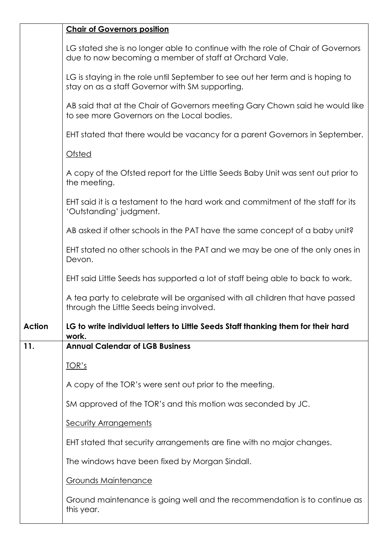|               | <b>Chair of Governors position</b>                                                                                                        |
|---------------|-------------------------------------------------------------------------------------------------------------------------------------------|
|               | LG stated she is no longer able to continue with the role of Chair of Governors<br>due to now becoming a member of staff at Orchard Vale. |
|               | LG is staying in the role until September to see out her term and is hoping to<br>stay on as a staff Governor with SM supporting.         |
|               | AB said that at the Chair of Governors meeting Gary Chown said he would like<br>to see more Governors on the Local bodies.                |
|               | EHT stated that there would be vacancy for a parent Governors in September.                                                               |
|               | <b>Ofsted</b>                                                                                                                             |
|               | A copy of the Ofsted report for the Little Seeds Baby Unit was sent out prior to<br>the meeting.                                          |
|               | EHT said it is a testament to the hard work and commitment of the staff for its<br>'Outstanding' judgment.                                |
|               | AB asked if other schools in the PAT have the same concept of a baby unit?                                                                |
|               | EHT stated no other schools in the PAT and we may be one of the only ones in<br>Devon.                                                    |
|               | EHT said Little Seeds has supported a lot of staff being able to back to work.                                                            |
|               | A tea party to celebrate will be organised with all children that have passed<br>through the Little Seeds being involved.                 |
| <b>Action</b> | LG to write individual letters to Little Seeds Staff thanking them for their hard<br>work.                                                |
| 11.           | <b>Annual Calendar of LGB Business</b>                                                                                                    |
|               | <u>TOR's</u>                                                                                                                              |
|               | A copy of the TOR's were sent out prior to the meeting.                                                                                   |
|               | SM approved of the TOR's and this motion was seconded by JC.                                                                              |
|               | <b>Security Arrangements</b>                                                                                                              |
|               | EHT stated that security arrangements are fine with no major changes.                                                                     |
|               | The windows have been fixed by Morgan Sindall.                                                                                            |
|               | <b>Grounds Maintenance</b>                                                                                                                |
|               | Ground maintenance is going well and the recommendation is to continue as<br>this year.                                                   |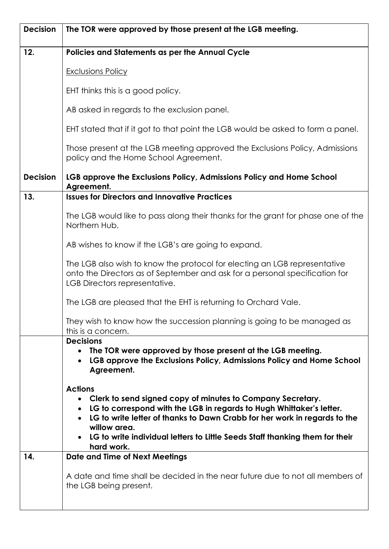| <b>Decision</b> | The TOR were approved by those present at the LGB meeting.                                                                                                                                                                                                                                                                                                   |
|-----------------|--------------------------------------------------------------------------------------------------------------------------------------------------------------------------------------------------------------------------------------------------------------------------------------------------------------------------------------------------------------|
| 12.             | Policies and Statements as per the Annual Cycle                                                                                                                                                                                                                                                                                                              |
|                 | <b>Exclusions Policy</b>                                                                                                                                                                                                                                                                                                                                     |
|                 | EHT thinks this is a good policy.                                                                                                                                                                                                                                                                                                                            |
|                 | AB asked in regards to the exclusion panel.                                                                                                                                                                                                                                                                                                                  |
|                 | EHT stated that if it got to that point the LGB would be asked to form a panel.                                                                                                                                                                                                                                                                              |
|                 | Those present at the LGB meeting approved the Exclusions Policy, Admissions<br>policy and the Home School Agreement.                                                                                                                                                                                                                                         |
| <b>Decision</b> | LGB approve the Exclusions Policy, Admissions Policy and Home School<br>Agreement.                                                                                                                                                                                                                                                                           |
| 13.             | <b>Issues for Directors and Innovative Practices</b>                                                                                                                                                                                                                                                                                                         |
|                 | The LGB would like to pass along their thanks for the grant for phase one of the<br>Northern Hub.                                                                                                                                                                                                                                                            |
|                 | AB wishes to know if the LGB's are going to expand.                                                                                                                                                                                                                                                                                                          |
|                 | The LGB also wish to know the protocol for electing an LGB representative<br>onto the Directors as of September and ask for a personal specification for<br>LGB Directors representative.                                                                                                                                                                    |
|                 | The LGB are pleased that the EHT is returning to Orchard Vale.                                                                                                                                                                                                                                                                                               |
|                 | They wish to know how the succession planning is going to be managed as<br>this is a concern.                                                                                                                                                                                                                                                                |
|                 | <b>Decisions</b><br>The TOR were approved by those present at the LGB meeting.<br>LGB approve the Exclusions Policy, Admissions Policy and Home School<br>$\bullet$<br>Agreement.                                                                                                                                                                            |
|                 | <b>Actions</b><br>Clerk to send signed copy of minutes to Company Secretary.<br>LG to correspond with the LGB in regards to Hugh Whittaker's letter.<br>$\bullet$<br>LG to write letter of thanks to Dawn Crabb for her work in regards to the<br>willow area.<br>LG to write individual letters to Little Seeds Staff thanking them for their<br>hard work. |
| 14.             | <b>Date and Time of Next Meetings</b>                                                                                                                                                                                                                                                                                                                        |
|                 | A date and time shall be decided in the near future due to not all members of<br>the LGB being present.                                                                                                                                                                                                                                                      |